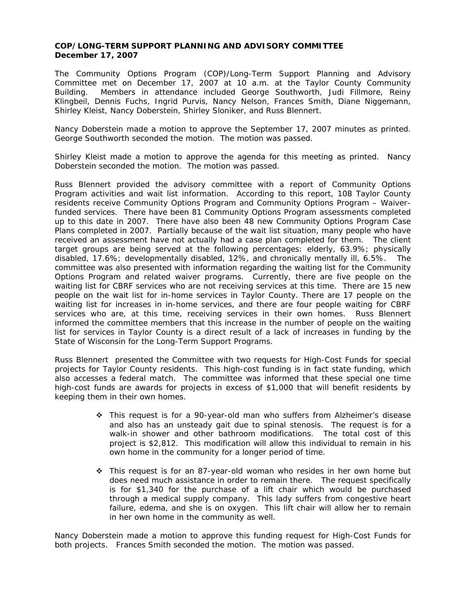## **COP/LONG-TERM SUPPORT PLANNING AND ADVISORY COMMITTEE December 17, 2007**

The Community Options Program (COP)/Long-Term Support Planning and Advisory Committee met on December 17, 2007 at 10 a.m. at the Taylor County Community Building. Members in attendance included George Southworth, Judi Fillmore, Reiny Klingbeil, Dennis Fuchs, Ingrid Purvis, Nancy Nelson, Frances Smith, Diane Niggemann, Shirley Kleist, Nancy Doberstein, Shirley Sloniker, and Russ Blennert.

Nancy Doberstein made a motion to approve the September 17, 2007 minutes as printed. George Southworth seconded the motion. The motion was passed.

Shirley Kleist made a motion to approve the agenda for this meeting as printed. Nancy Doberstein seconded the motion. The motion was passed.

Russ Blennert provided the advisory committee with a report of Community Options Program activities and wait list information. According to this report, 108 Taylor County residents receive Community Options Program and Community Options Program – Waiverfunded services. There have been 81 Community Options Program assessments completed up to this date in 2007. There have also been 48 new Community Options Program Case Plans completed in 2007. Partially because of the wait list situation, many people who have received an assessment have not actually had a case plan completed for them. The client target groups are being served at the following percentages: elderly, 63.9%; physically disabled, 17.6%; developmentally disabled, 12%, and chronically mentally ill, 6.5%. The committee was also presented with information regarding the waiting list for the Community Options Program and related waiver programs. Currently, there are five people on the waiting list for CBRF services who are not receiving services at this time. There are 15 new people on the wait list for in-home services in Taylor County. There are 17 people on the waiting list for increases in in-home services, and there are four people waiting for CBRF services who are, at this time, receiving services in their own homes. Russ Blennert informed the committee members that this increase in the number of people on the waiting list for services in Taylor County is a direct result of a lack of increases in funding by the State of Wisconsin for the Long-Term Support Programs.

Russ Blennert presented the Committee with two requests for High-Cost Funds for special projects for Taylor County residents. This high-cost funding is in fact state funding, which also accesses a federal match. The committee was informed that these special one time high-cost funds are awards for projects in excess of \$1,000 that will benefit residents by keeping them in their own homes.

- This request is for a 90-year-old man who suffers from Alzheimer's disease and also has an unsteady gait due to spinal stenosis. The request is for a walk-in shower and other bathroom modifications. The total cost of this project is \$2,812. This modification will allow this individual to remain in his own home in the community for a longer period of time.
- This request is for an 87-year-old woman who resides in her own home but does need much assistance in order to remain there. The request specifically is for \$1,340 for the purchase of a lift chair which would be purchased through a medical supply company. This lady suffers from congestive heart failure, edema, and she is on oxygen. This lift chair will allow her to remain in her own home in the community as well.

Nancy Doberstein made a motion to approve this funding request for High-Cost Funds for both projects. Frances Smith seconded the motion. The motion was passed.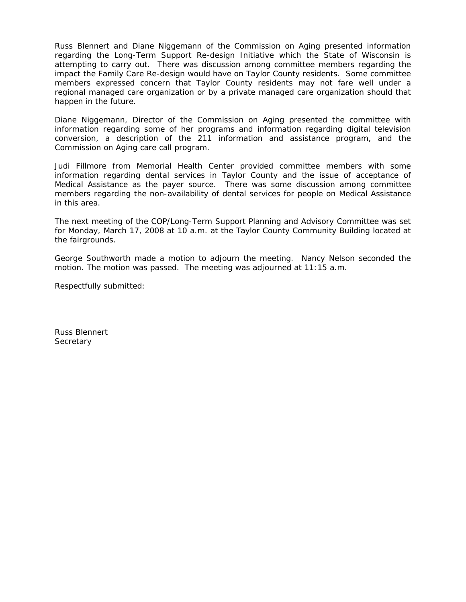Russ Blennert and Diane Niggemann of the Commission on Aging presented information regarding the Long-Term Support Re-design Initiative which the State of Wisconsin is attempting to carry out. There was discussion among committee members regarding the impact the Family Care Re-design would have on Taylor County residents. Some committee members expressed concern that Taylor County residents may not fare well under a regional managed care organization or by a private managed care organization should that happen in the future.

Diane Niggemann, Director of the Commission on Aging presented the committee with information regarding some of her programs and information regarding digital television conversion, a description of the 211 information and assistance program, and the Commission on Aging care call program.

Judi Fillmore from Memorial Health Center provided committee members with some information regarding dental services in Taylor County and the issue of acceptance of Medical Assistance as the payer source. There was some discussion among committee members regarding the non-availability of dental services for people on Medical Assistance in this area.

The next meeting of the COP/Long-Term Support Planning and Advisory Committee was set for Monday, March 17, 2008 at 10 a.m. at the Taylor County Community Building located at the fairgrounds.

George Southworth made a motion to adjourn the meeting. Nancy Nelson seconded the motion. The motion was passed. The meeting was adjourned at 11:15 a.m.

Respectfully submitted: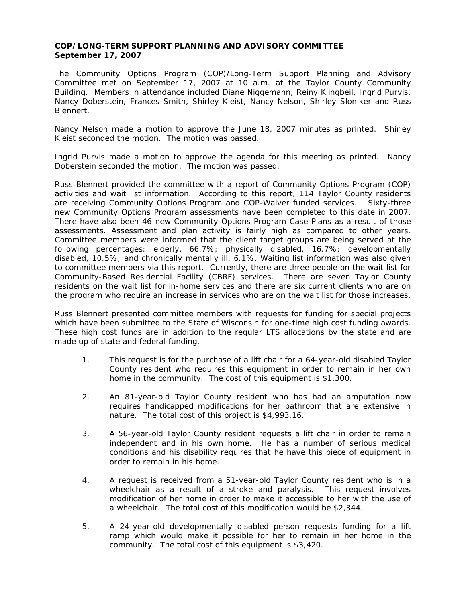## **COP/LONG-TERM SUPPORT PLANNING AND ADVISORY COMMITTEE September 17, 2007**

The Community Options Program (COP)/Long-Term Support Planning and Advisory Committee met on September 17, 2007 at 10 a.m. at the Taylor County Community Building. Members in attendance included Diane Niggemann, Reiny Klingbeil, Ingrid Purvis, Nancy Doberstein, Frances Smith, Shirley Kleist, Nancy Nelson, Shirley Sloniker and Russ Blennert.

Nancy Nelson made a motion to approve the June 18, 2007 minutes as printed. Shirley Kleist seconded the motion. The motion was passed.

Ingrid Purvis made a motion to approve the agenda for this meeting as printed. Nancy Doberstein seconded the motion. The motion was passed.

Russ Blennert provided the committee with a report of Community Options Program (COP) activities and wait list information. According to this report, 114 Taylor County residents are receiving Community Options Program and COP-Waiver funded services. Sixty-three new Community Options Program assessments have been completed to this date in 2007. There have also been 46 new Community Options Program Case Plans as a result of those assessments. Assessment and plan activity is fairly high as compared to other years. Committee members were informed that the client target groups are being served at the following percentages: elderly, 66.7%; physically disabled, 16.7%; developmentally disabled, 10.5%; and chronically mentally ill, 6.1%. Waiting list information was also given to committee members via this report. Currently, there are three people on the wait list for Community-Based Residential Facility (CBRF) services. There are seven Taylor County residents on the wait list for in-home services and there are six current clients who are on the program who require an increase in services who are on the wait list for those increases.

Russ Blennert presented committee members with requests for funding for special projects which have been submitted to the State of Wisconsin for one-time high cost funding awards. These high cost funds are in addition to the regular LTS allocations by the state and are made up of state and federal funding.

- 1. This request is for the purchase of a lift chair for a 64-year-old disabled Taylor County resident who requires this equipment in order to remain in her own home in the community. The cost of this equipment is \$1,300.
- 2. An 81-year-old Taylor County resident who has had an amputation now requires handicapped modifications for her bathroom that are extensive in nature. The total cost of this project is \$4,993.16.
- 3. A 56-year-old Taylor County resident requests a lift chair in order to remain independent and in his own home. He has a number of serious medical conditions and his disability requires that he have this piece of equipment in order to remain in his home.
- 4. A request is received from a 51-year-old Taylor County resident who is in a wheelchair as a result of a stroke and paralysis. This request involves modification of her home in order to make it accessible to her with the use of a wheelchair. The total cost of this modification would be \$2,344.
- 5. A 24-year-old developmentally disabled person requests funding for a lift ramp which would make it possible for her to remain in her home in the community. The total cost of this equipment is \$3,420.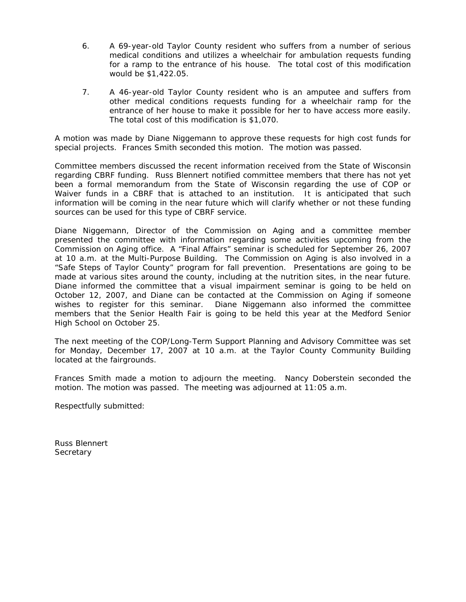- 6. A 69-year-old Taylor County resident who suffers from a number of serious medical conditions and utilizes a wheelchair for ambulation requests funding for a ramp to the entrance of his house. The total cost of this modification would be \$1,422.05.
- 7. A 46-year-old Taylor County resident who is an amputee and suffers from other medical conditions requests funding for a wheelchair ramp for the entrance of her house to make it possible for her to have access more easily. The total cost of this modification is \$1,070.

A motion was made by Diane Niggemann to approve these requests for high cost funds for special projects. Frances Smith seconded this motion. The motion was passed.

Committee members discussed the recent information received from the State of Wisconsin regarding CBRF funding. Russ Blennert notified committee members that there has not yet been a formal memorandum from the State of Wisconsin regarding the use of COP or Waiver funds in a CBRF that is attached to an institution. It is anticipated that such information will be coming in the near future which will clarify whether or not these funding sources can be used for this type of CBRF service.

Diane Niggemann, Director of the Commission on Aging and a committee member presented the committee with information regarding some activities upcoming from the Commission on Aging office. A "Final Affairs" seminar is scheduled for September 26, 2007 at 10 a.m. at the Multi-Purpose Building. The Commission on Aging is also involved in a "Safe Steps of Taylor County" program for fall prevention. Presentations are going to be made at various sites around the county, including at the nutrition sites, in the near future. Diane informed the committee that a visual impairment seminar is going to be held on October 12, 2007, and Diane can be contacted at the Commission on Aging if someone wishes to register for this seminar. Diane Niggemann also informed the committee members that the Senior Health Fair is going to be held this year at the Medford Senior High School on October 25.

The next meeting of the COP/Long-Term Support Planning and Advisory Committee was set for Monday, December 17, 2007 at 10 a.m. at the Taylor County Community Building located at the fairgrounds.

Frances Smith made a motion to adjourn the meeting. Nancy Doberstein seconded the motion. The motion was passed. The meeting was adjourned at 11:05 a.m.

Respectfully submitted: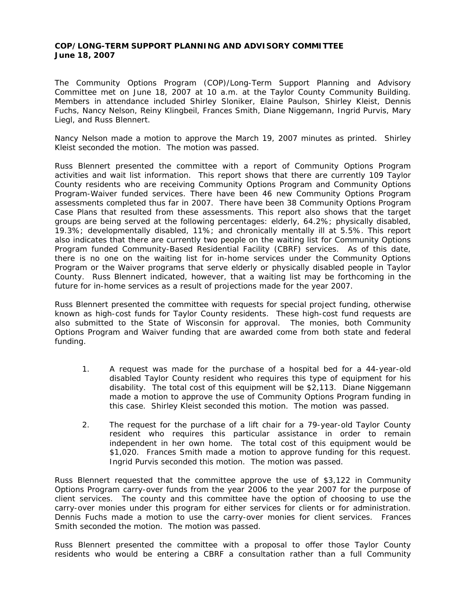## **COP/LONG-TERM SUPPORT PLANNING AND ADVISORY COMMITTEE June 18, 2007**

The Community Options Program (COP)/Long-Term Support Planning and Advisory Committee met on June 18, 2007 at 10 a.m. at the Taylor County Community Building. Members in attendance included Shirley Sloniker, Elaine Paulson, Shirley Kleist, Dennis Fuchs, Nancy Nelson, Reiny Klingbeil, Frances Smith, Diane Niggemann, Ingrid Purvis, Mary Liegl, and Russ Blennert.

Nancy Nelson made a motion to approve the March 19, 2007 minutes as printed. Shirley Kleist seconded the motion. The motion was passed.

Russ Blennert presented the committee with a report of Community Options Program activities and wait list information. This report shows that there are currently 109 Taylor County residents who are receiving Community Options Program and Community Options Program-Waiver funded services. There have been 46 new Community Options Program assessments completed thus far in 2007. There have been 38 Community Options Program Case Plans that resulted from these assessments. This report also shows that the target groups are being served at the following percentages: elderly, 64.2%; physically disabled, 19.3%; developmentally disabled, 11%; and chronically mentally ill at 5.5%. This report also indicates that there are currently two people on the waiting list for Community Options Program funded Community-Based Residential Facility (CBRF) services. As of this date, there is no one on the waiting list for in-home services under the Community Options Program or the Waiver programs that serve elderly or physically disabled people in Taylor County. Russ Blennert indicated, however, that a waiting list may be forthcoming in the future for in-home services as a result of projections made for the year 2007.

Russ Blennert presented the committee with requests for special project funding, otherwise known as high-cost funds for Taylor County residents. These high-cost fund requests are also submitted to the State of Wisconsin for approval. The monies, both Community Options Program and Waiver funding that are awarded come from both state and federal funding.

- 1. A request was made for the purchase of a hospital bed for a 44-year-old disabled Taylor County resident who requires this type of equipment for his disability. The total cost of this equipment will be \$2,113. Diane Niggemann made a motion to approve the use of Community Options Program funding in this case. Shirley Kleist seconded this motion. The motion was passed.
- 2. The request for the purchase of a lift chair for a 79-year-old Taylor County resident who requires this particular assistance in order to remain independent in her own home. The total cost of this equipment would be \$1,020. Frances Smith made a motion to approve funding for this request. Ingrid Purvis seconded this motion. The motion was passed.

Russ Blennert requested that the committee approve the use of \$3,122 in Community Options Program carry-over funds from the year 2006 to the year 2007 for the purpose of client services. The county and this committee have the option of choosing to use the carry-over monies under this program for either services for clients or for administration. Dennis Fuchs made a motion to use the carry-over monies for client services. Frances Smith seconded the motion. The motion was passed.

Russ Blennert presented the committee with a proposal to offer those Taylor County residents who would be entering a CBRF a consultation rather than a full Community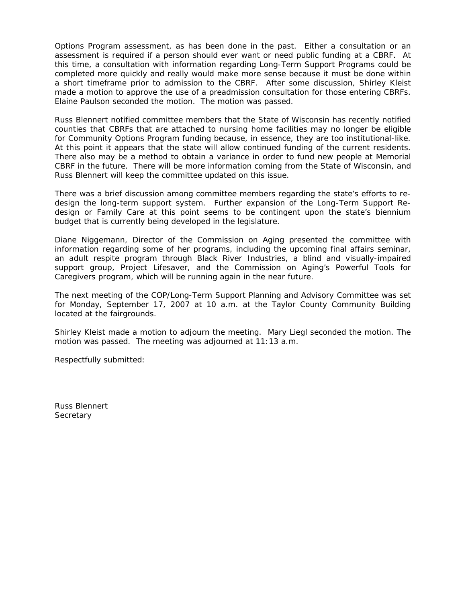Options Program assessment, as has been done in the past. Either a consultation or an assessment is required if a person should ever want or need public funding at a CBRF. At this time, a consultation with information regarding Long-Term Support Programs could be completed more quickly and really would make more sense because it must be done within a short timeframe prior to admission to the CBRF. After some discussion, Shirley Kleist made a motion to approve the use of a preadmission consultation for those entering CBRFs. Elaine Paulson seconded the motion. The motion was passed.

Russ Blennert notified committee members that the State of Wisconsin has recently notified counties that CBRFs that are attached to nursing home facilities may no longer be eligible for Community Options Program funding because, in essence, they are too institutional-like. At this point it appears that the state will allow continued funding of the current residents. There also may be a method to obtain a variance in order to fund new people at Memorial CBRF in the future. There will be more information coming from the State of Wisconsin, and Russ Blennert will keep the committee updated on this issue.

There was a brief discussion among committee members regarding the state's efforts to redesign the long-term support system. Further expansion of the Long-Term Support Redesign or Family Care at this point seems to be contingent upon the state's biennium budget that is currently being developed in the legislature.

Diane Niggemann, Director of the Commission on Aging presented the committee with information regarding some of her programs, including the upcoming final affairs seminar, an adult respite program through Black River Industries, a blind and visually-impaired support group, Project Lifesaver, and the Commission on Aging's Powerful Tools for Caregivers program, which will be running again in the near future.

The next meeting of the COP/Long-Term Support Planning and Advisory Committee was set for Monday, September 17, 2007 at 10 a.m. at the Taylor County Community Building located at the fairgrounds.

Shirley Kleist made a motion to adjourn the meeting. Mary Liegl seconded the motion. The motion was passed. The meeting was adjourned at 11:13 a.m.

Respectfully submitted: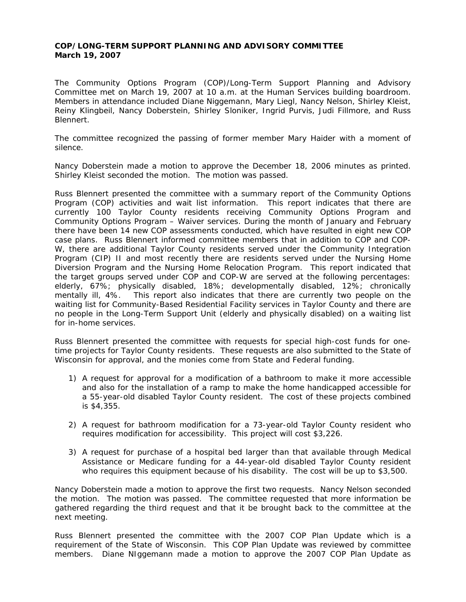## **COP/LONG-TERM SUPPORT PLANNING AND ADVISORY COMMITTEE March 19, 2007**

The Community Options Program (COP)/Long-Term Support Planning and Advisory Committee met on March 19, 2007 at 10 a.m. at the Human Services building boardroom. Members in attendance included Diane Niggemann, Mary Liegl, Nancy Nelson, Shirley Kleist, Reiny Klingbeil, Nancy Doberstein, Shirley Sloniker, Ingrid Purvis, Judi Fillmore, and Russ Blennert.

The committee recognized the passing of former member Mary Haider with a moment of silence.

Nancy Doberstein made a motion to approve the December 18, 2006 minutes as printed. Shirley Kleist seconded the motion. The motion was passed.

Russ Blennert presented the committee with a summary report of the Community Options Program (COP) activities and wait list information. This report indicates that there are currently 100 Taylor County residents receiving Community Options Program and Community Options Program – Waiver services. During the month of January and February there have been 14 new COP assessments conducted, which have resulted in eight new COP case plans. Russ Blennert informed committee members that in addition to COP and COP-W, there are additional Taylor County residents served under the Community Integration Program (CIP) II and most recently there are residents served under the Nursing Home Diversion Program and the Nursing Home Relocation Program. This report indicated that the target groups served under COP and COP-W are served at the following percentages: elderly, 67%; physically disabled, 18%; developmentally disabled, 12%; chronically mentally ill, 4%. This report also indicates that there are currently two people on the waiting list for Community-Based Residential Facility services in Taylor County and there are no people in the Long-Term Support Unit (elderly and physically disabled) on a waiting list for in-home services.

Russ Blennert presented the committee with requests for special high-cost funds for onetime projects for Taylor County residents. These requests are also submitted to the State of Wisconsin for approval, and the monies come from State and Federal funding.

- 1) A request for approval for a modification of a bathroom to make it more accessible and also for the installation of a ramp to make the home handicapped accessible for a 55-year-old disabled Taylor County resident. The cost of these projects combined is \$4,355.
- 2) A request for bathroom modification for a 73-year-old Taylor County resident who requires modification for accessibility. This project will cost \$3,226.
- 3) A request for purchase of a hospital bed larger than that available through Medical Assistance or Medicare funding for a 44-year-old disabled Taylor County resident who requires this equipment because of his disability. The cost will be up to \$3,500.

Nancy Doberstein made a motion to approve the first two requests. Nancy Nelson seconded the motion. The motion was passed. The committee requested that more information be gathered regarding the third request and that it be brought back to the committee at the next meeting.

Russ Blennert presented the committee with the 2007 COP Plan Update which is a requirement of the State of Wisconsin. This COP Plan Update was reviewed by committee members. Diane NIggemann made a motion to approve the 2007 COP Plan Update as